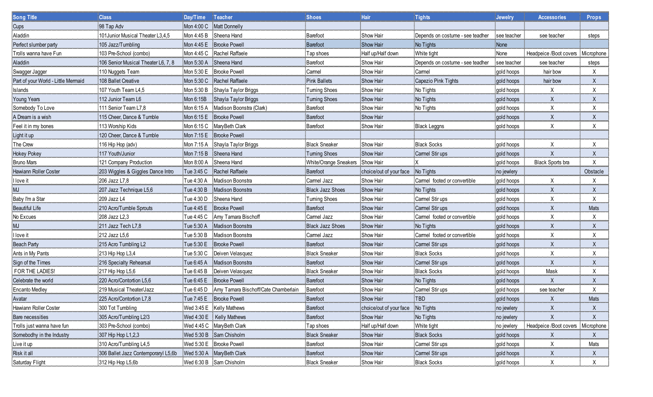| _________<br><b>Song Title</b>      | Class                               | Day/Time    | Teacher                              | <b>Shoes</b>            | <b>Hair</b>             | <b>Tights</b>                    | <b>Jewelry</b> | <b>Accessories</b>     | <b>Props</b> |
|-------------------------------------|-------------------------------------|-------------|--------------------------------------|-------------------------|-------------------------|----------------------------------|----------------|------------------------|--------------|
| Cups                                | 98 Tap Adv                          |             | Mon 4:00 C Matt Donnelly             |                         |                         |                                  |                |                        |              |
| Aladdin                             | 101Junior Musical Theater L3,4,5    | Mon 4:45 B  | Sheena Hand                          | Barefoot                | Show Hair               | Depends on costume - see teadher | see teacher    | see teacher            | steps        |
| Perfect slumber party               | 105 Jazz/Tumbling                   |             | Mon 4:45 E Brooke Powell             | <b>Barefoot</b>         | Show Hair               | No Tights                        | None           |                        |              |
| Trolls wanna have Fun               | 103 Pre-School (combo)              | Mon 4:45 C  | Rachel Raffaele                      | Tap shoes               | Half up/Half down       | White tight                      | None           | Headpeice /Boot covers | Microphone   |
| Aladdin                             | 106 Senior Musical Theater L6, 7, 8 | Mon 5:30 A  | Sheena Hand                          | Barefoot                | Show Hair               | Depends on costume - see teadher | see teacher    | see teacher            | steps        |
| Swagger Jagger                      | 110 Nuggets Team                    | Mon 5:30 E  | <b>Brooke Powell</b>                 | Carmel                  | Show Hair               | Camel                            | gold hoops     | hair bow               | х            |
| Part of your World - Little Mermaid | 108 Ballet Creative                 | Mon 5:30 C  | Rachel Raffaele                      | <b>Pink Ballets</b>     | Show Hair               | Capezio Pink Tights              | gold hoops     | hair bow               |              |
| Islands                             | 107 Youth Team L4,5                 | Mon 5:30 B  | Shayla Taylor Briggs                 | Tuming Shoes            | Show Hair               | No Tights                        | gold hoops     | Χ                      |              |
| Young Years                         | 112 Junior Team L6                  | Mon 6:15B   | Shayla Taylor Briggs                 | Tuming Shoes            | <b>Show Hair</b>        | No Tights                        | gold hoops     | X                      |              |
| Somebody To Love                    | 111 Senior Team L7,8                | Mon 6:15 A  | Madison Boonstra (Clark)             | Barefoot                | Show Hair               | No Tights                        | gold hoops     | Χ                      | Χ            |
| A Dream is a wish                   | 115 Cheer, Dance & Tumble           | Mon $6:15E$ | <b>Brooke Powell</b>                 | Barefoot                | Show Hair               |                                  | gold hoops     | X                      |              |
| Feel it in my bones                 | 113 Worship Kids                    |             | Mon 6:15 C Mary Beth Clark           | Barefoot                | Show Hair               | <b>Black Leggns</b>              | gold hoops     | х                      | Χ            |
| Light it up                         | 120 Cheer, Dance & Tumble           | Mon 7:15 E  | <b>Brooke Powell</b>                 |                         |                         |                                  |                |                        |              |
| The Crew                            | 116 Hip Hop (adv)                   | Mon 7:15 A  | Shayla Taylor Briggs                 | <b>Black Sneaker</b>    | Show Hair               | <b>Black Socks</b>               | gold hoops     |                        |              |
| Hokey Pokey                         | 117 Youth/Junior                    | Mon 7:15 B  | Sheena Hand                          | Tuming Shoes            | Show Hair               | Carmel Stir ups                  | gold hoops     | X                      |              |
| <b>Bruno Mars</b>                   | 121 Company Production              | Mon 8:00 A  | Sheena Hand                          | White/Orange Sneakers   | Show Hair               |                                  | gold hoops     | Black Sports bra       |              |
| Hawiann Roller Coster               | 203 Wiggles & Giggles Dance Intro   | Tue 3:45 C  | Rachel Raffaele                      | Barefoot                | choice/out of your face | No Tights                        | no jewlery     |                        | Obstacle     |
| I love it                           | 206 Jazz L7,8                       | Tue 4:30 A  | Madison Boonstra                     | Carmel Jazz             | Show Hair               | Carmel footed or convertible     | gold hoops     | X                      |              |
| <b>MJ</b>                           | 207 Jazz Technique L5,6             | Tue 4:30 B  | Madison Boonstra                     | <b>Black Jazz Shoes</b> | Show Hair               | No Tights                        | gold hoops     | X                      | X            |
| Baby I'm a Star                     | 209 Jazz L4                         | Tue 4:30 D  | Sheena Hand                          | <b>Tuming Shoes</b>     | Show Hair               | Carmel Stir ups                  | gold hoops     | Χ                      |              |
| <b>Beautiful Life</b>               | 210 Acro/Tumble Sprouts             | Tue 4:45 E  | <b>Brooke Powell</b>                 | <b>Barefoot</b>         | Show Hair               | Carmel Stir ups                  | gold hoops     | X                      | Mats         |
| No Excues                           | 208 Jazz L <sub>2</sub> ,3          | Tue 4:45 C  | Amy Tamara Bischoff                  | Carmel Jazz             | Show Hair               | Carmel footed or convertible     | gold hoops     | Χ                      |              |
| MJ                                  | 211 Jazz Tech L7,8                  | Tue 5:30 A  | Madison Boonstra                     | <b>Black Jazz Shoes</b> | Show Hair               | No Tights                        | gold hoops     |                        |              |
| l love it                           | 212 Jazz L5,6                       | Tue 5:30 B  | Madison Boonstra                     | Carmel Jazz             | Show Hair               | Carmel footed or convertible     | gold hoops     | х                      |              |
| <b>Beach Party</b>                  | 215 Acro Tumbling L2                | Tue 5:30 E  | <b>Brooke Powell</b>                 | Barefoot                | Show Hair               | Carmel Stir ups                  | gold hoops     | X                      |              |
| Ants in My Pants                    | 213 Hip Hop L3,4                    | Tue 5:30 C  | Deiven Velasquez                     | <b>Black Sneaker</b>    | Show Hair               | <b>Black Socks</b>               | gold hoops     | Χ                      |              |
| Sign of the Times                   | 216 Specialty Rehearsal             | Tue 6:45 A  | Madison Boonstra                     | Barefoot                | Show Hair               | Carmel Stir ups                  | gold hoops     | X                      |              |
| FOR THE LADIES!                     | 217 Hip Hop L5,6                    | Tue 6:45 B  | Deiven Velasquez                     | <b>Black Sneaker</b>    | Show Hair               | <b>Black Socks</b>               | gold hoops     | Mask                   |              |
| Celebrate the world                 | 220 Acro/Contortion L5,6            | Tue 6:45 E  | <b>Brooke Powell</b>                 | Barefoot                | Show Hair               | No Tights                        | gold hoops     |                        | X            |
| <b>Encanto Medley</b>               | 219 Musical Theater/Jazz            | Tue 6:45 D  | Amy Tamara Bischoff/Cate Chamberlain | Barefoot                | <b>Show Hair</b>        | Carmel Stir ups                  | gold hoops     | see teacher            | Х            |
| Avatar                              | 225 Acro/Contortion L7,8            |             | Tue 7:45 E Brooke Powell             | Barefoot                | <b>Show Hair</b>        | TBD                              | gold hoops     | X                      | Mats         |
| Hawiann Roller Coster               | 300 Tot Tumbling                    |             | Wed 3:45 E Kelly Mathews             | Barefoot                | choice/out of your face | No Tights                        | no jewlery     |                        | X            |
| Bare necessities                    | 305 Acro/Tumbling L2/3              |             | Wed 4:30 E Kelly Mathews             | Barefoot                | Show Hair               | No Tights                        | no jewlery     |                        | X.           |
| Trolls just wanna have fun          | 303 Pre-School (combo)              |             | Wed 4:45 C MaryBeth Clark            | Tap shoes               | Half up/Half down       | White tight                      | no jewlery     | Headpeice /Boot covers | Microphone   |
| Somebodhy in the Industry           | 307 Hip Hop L1,2,3                  |             | Wed 5:30 B Sam Chisholm              | <b>Black Sneaker</b>    | Show Hair               | <b>Black Socks</b>               | gold hoops     | $\pmb{\mathsf{X}}$     | X.           |
| Live it up                          | 310 Acro/Tumbling L4,5              |             | Wed 5:30 E Brooke Powell             | Barefoot                | Show Hair               | Carmel Stir ups                  | gold hoops     | X                      | Mats         |
| Risk it all                         | 306 Ballet Jazz Contemporaryl L5,6b |             | Wed 5:30 A Mary Beth Clark           | Barefoot                | Show Hair               | Carmel Stir ups                  | gold hoops     | Χ                      | X.           |
| Saturday Flight                     | 312 Hip Hop L5,6b                   |             | Wed 6:30 B Sam Chisholm              | <b>Black Sneaker</b>    | Show Hair               | <b>Black Socks</b>               | gold hoops     | $\mathsf{X}$           | X            |